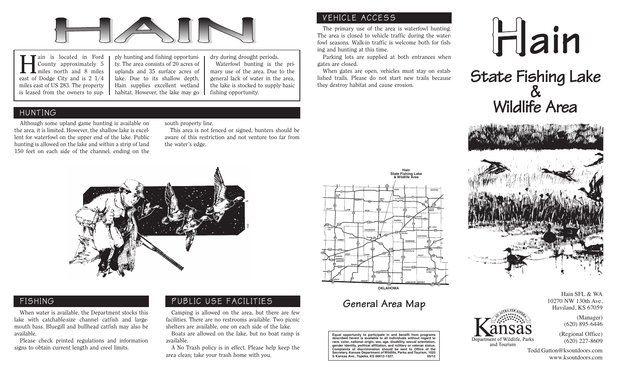

Hain is located in Ford County approximately 5 miles north and 8 miles east of Dodge City and is 2 1/4 miles east of US 283. The property is leased from the owners to sup-

ply hunting and fishing opportuni ty. The area consists of 20 acres of uplands and 35 surface acres of lake. Due to its shallow depth, Hain supplies excellent wetland habitat. However, the lake may go dry during drought periods.<br>
Hain supplies excellent wetland and the lake is stocked to supply basic habitat. However, the lake may go denote the lake is stocked to supply basic fishing op

#### HUNTING

Although some upland game hunting is available on the area, it is limited. However, the shallow lake is excellent for waterfowl on the upper end of the lake. Public hunting is allowed on the lake and within a strip of land 150 feet on each side of the channel, ending on the

#### south property line.

This area is not fenced or signed, hunters should be aware of this restriction and not venture too far from the water's edge.

### VEHICLE ACCESS

The primary use of the area is waterfowl hunting. The area is closed to vehicle traffic during the waterfowl seasons. Walk-in traffic is welcome both for fishing and hunting at this time.

Parking lots are supplied at both entrances when gates are closed.

When gates are open, vehicles must stay on established trails. Please do not start new trails because they destroy habitat and cause erosion.









#### FISHING

When water is available, the Department stocks this lake with catchable-size channel catfish and largemouth bass. Bluegill and bullhead catfish may also be available.

Please check printed regulations and information signs to obtain current length and creel limits.

#### PUBLIC USE FACILITIES

Camping is allowed on the area, but there are few facilities. There are no restrooms available. Two picnic shelters are available, one on each side of the lake.

Boats are allowed on the lake, but no boat ramp is available.

A No Trash policy is in effect. Please help keep the area clean; take your trash home with you.



## **General Area Map**

**Equal opportunity to participate in and benefit from programs described herein is available to all individuals without regard to** race, color, national origin, sex, age, disability, sexual orie **gender identity, political affiliation, and military or veteran status. Complaints of discrimination should be sent to Office of the Secretary, Kansas Department of Wildlife, Parks and Tourism, 1020 S Kansas Ave., Topeka, KS 66612-1327. 05/12**

Hain SFL & WA 10270 NW 130th Ave. Haviland, KS 67059

Department of Wildlife, Parks

and Tourism

(Regional Office) (620) 227-8609

(Manager) (620) 895-6446

Todd.Gatton@ksoutdoors.com www.ksoutdoors.com